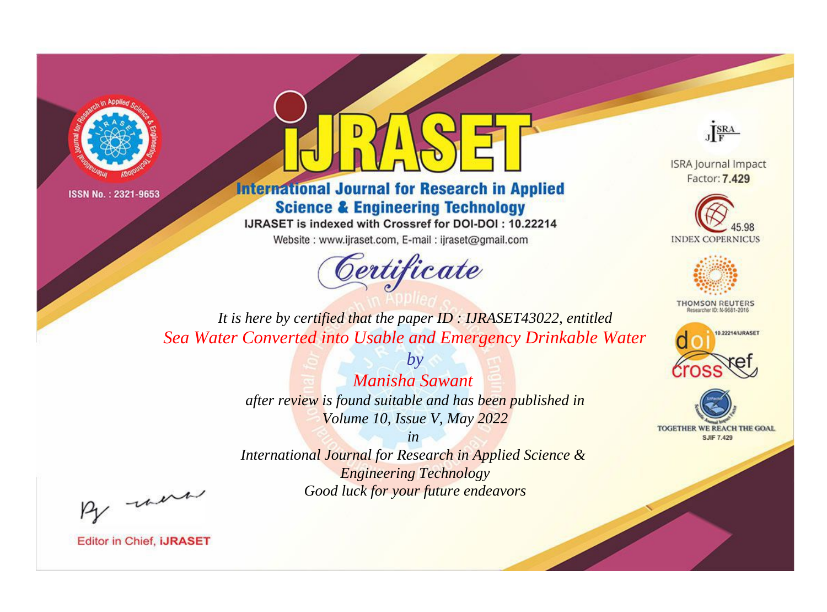



**International Journal for Research in Applied Science & Engineering Technology** 

IJRASET is indexed with Crossref for DOI-DOI: 10.22214

Website: www.ijraset.com, E-mail: ijraset@gmail.com



JERA

**ISRA Journal Impact** Factor: 7.429





**THOMSON REUTERS** 



TOGETHER WE REACH THE GOAL **SJIF 7.429** 

*It is here by certified that the paper ID : IJRASET43022, entitled Sea Water Converted into Usable and Emergency Drinkable Water*

> *Manisha Sawant after review is found suitable and has been published in Volume 10, Issue V, May 2022*

*by*

*in* 

*International Journal for Research in Applied Science & Engineering Technology Good luck for your future endeavors*

By morn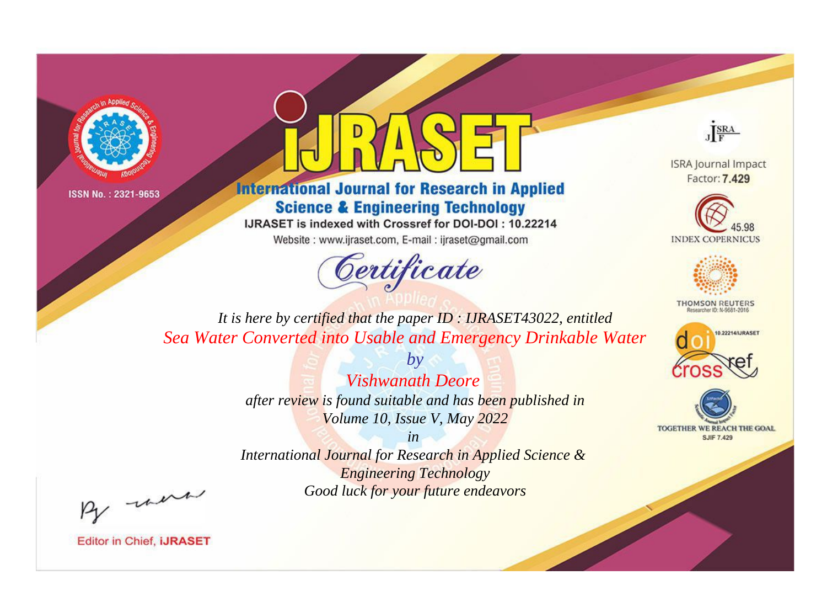



**International Journal for Research in Applied Science & Engineering Technology** 

IJRASET is indexed with Crossref for DOI-DOI: 10.22214

Website: www.ijraset.com, E-mail: ijraset@gmail.com



JERA

**ISRA Journal Impact** Factor: 7.429





**THOMSON REUTERS** 



TOGETHER WE REACH THE GOAL **SJIF 7.429** 

*It is here by certified that the paper ID : IJRASET43022, entitled Sea Water Converted into Usable and Emergency Drinkable Water*

> *by Vishwanath Deore after review is found suitable and has been published in Volume 10, Issue V, May 2022*

> > *in*

*International Journal for Research in Applied Science & Engineering Technology Good luck for your future endeavors*

By morn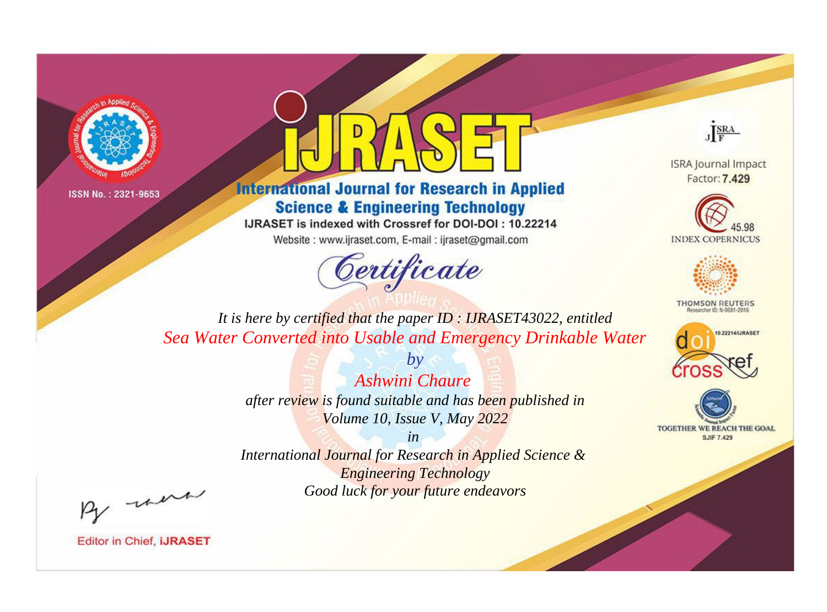



**International Journal for Research in Applied Science & Engineering Technology** 

IJRASET is indexed with Crossref for DOI-DOI: 10.22214

Website: www.ijraset.com, E-mail: ijraset@gmail.com



JERA

**ISRA Journal Impact** Factor: 7.429





**THOMSON REUTERS** 



TOGETHER WE REACH THE GOAL **SJIF 7.429** 

*It is here by certified that the paper ID : IJRASET43022, entitled Sea Water Converted into Usable and Emergency Drinkable Water*

> *by Ashwini Chaure after review is found suitable and has been published in Volume 10, Issue V, May 2022*

> > *in*

*International Journal for Research in Applied Science & Engineering Technology Good luck for your future endeavors*

By morn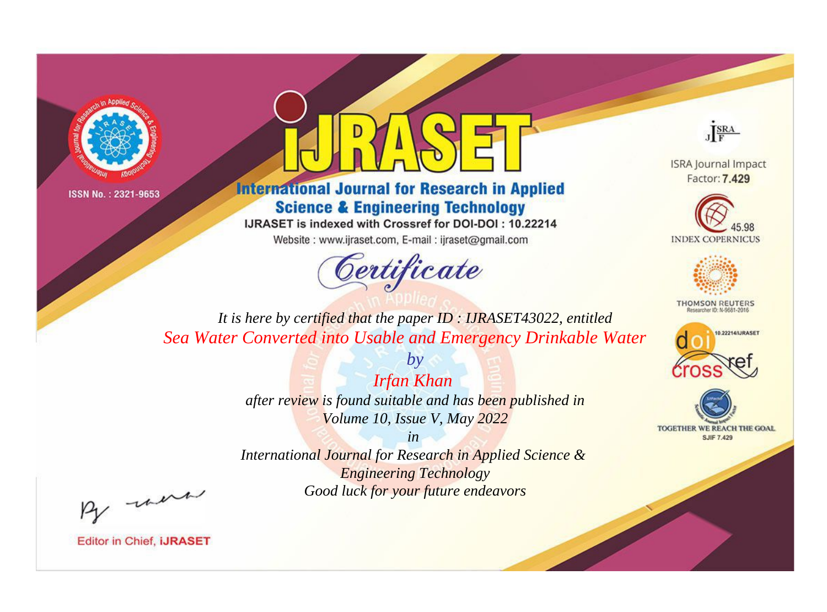



**International Journal for Research in Applied Science & Engineering Technology** 

IJRASET is indexed with Crossref for DOI-DOI: 10.22214

Website: www.ijraset.com, E-mail: ijraset@gmail.com



JERA

**ISRA Journal Impact** Factor: 7.429





**THOMSON REUTERS** 



TOGETHER WE REACH THE GOAL **SJIF 7.429** 

*It is here by certified that the paper ID : IJRASET43022, entitled Sea Water Converted into Usable and Emergency Drinkable Water*

> *Irfan Khan after review is found suitable and has been published in Volume 10, Issue V, May 2022*

*by*

*in* 

*International Journal for Research in Applied Science & Engineering Technology Good luck for your future endeavors*

By morn